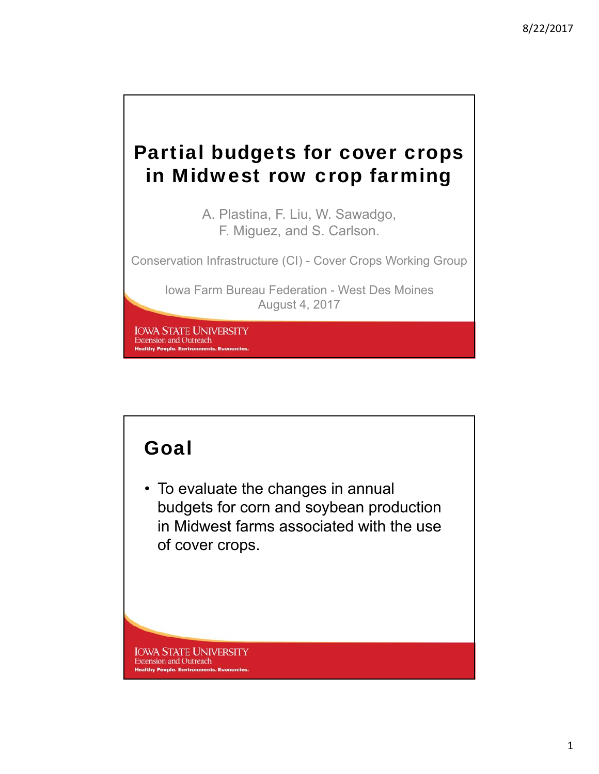# Partial budgets for cover crops in Midwest row crop farming

A. Plastina, F. Liu, W. Sawadgo, F. Miguez, and S. Carlson.

Conservation Infrastructure (CI) - Cover Crops Working Group

Iowa Farm Bureau Federation - West Des Moines August 4, 2017

**IOWA STATE UNIVERSITY Extension and Outreach Healthy People. Environments. Economies** 

## Goal

• To evaluate the changes in annual budgets for corn and soybean production in Midwest farms associated with the use of cover crops.

**IOWA STATE UNIVERSITY** Extension and Outreach **Healthy People. Environments. Economies**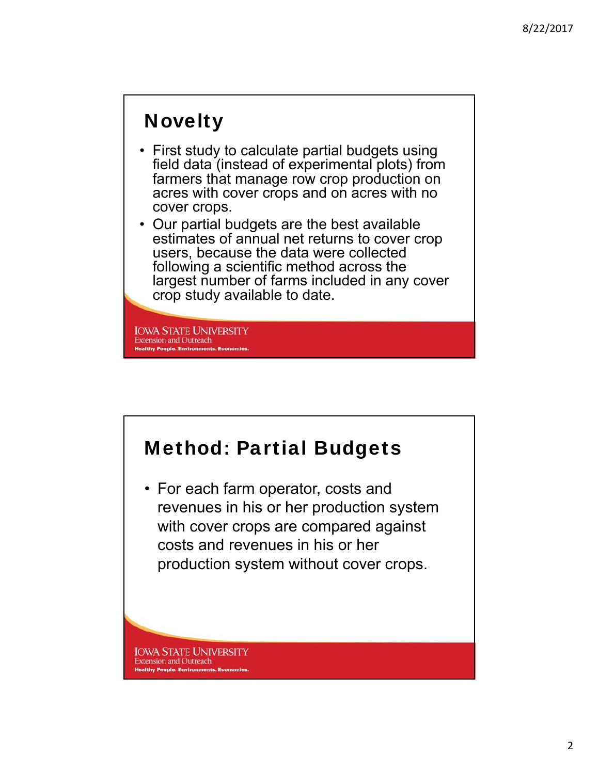## **Novelty**

- First study to calculate partial budgets using field data (instead of experimental plots) from farmers that manage row crop production on acres with cover crops and on acres with no cover crops.
- Our partial budgets are the best available estimates of annual net returns to cover crop users, because the data were collected following a scientific method across the largest number of farms included in any cover crop study available to date.

**IOWA STATE UNIVERSITY Extension and Outreach Healthy People. Environments. Ec** 



**Extension and Outreach Healthy People. Environments. Economies**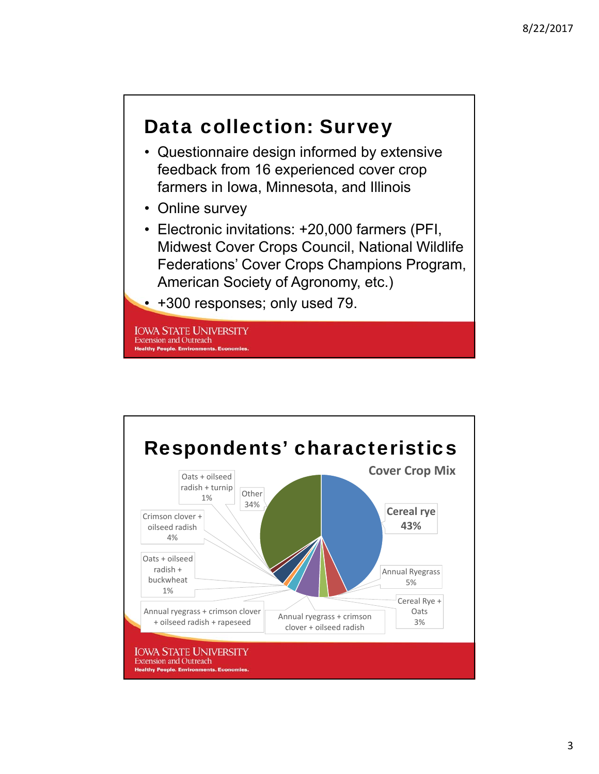### Data collection: Survey

- Questionnaire design informed by extensive feedback from 16 experienced cover crop farmers in Iowa, Minnesota, and Illinois
- Online survey
- Electronic invitations: +20,000 farmers (PFI, Midwest Cover Crops Council, National Wildlife Federations' Cover Crops Champions Program, American Society of Agronomy, etc.)
- +300 responses; only used 79.

**IOWA STATE UNIVERSITY Extension and Outreach Healthy People. Environments. Eco** 

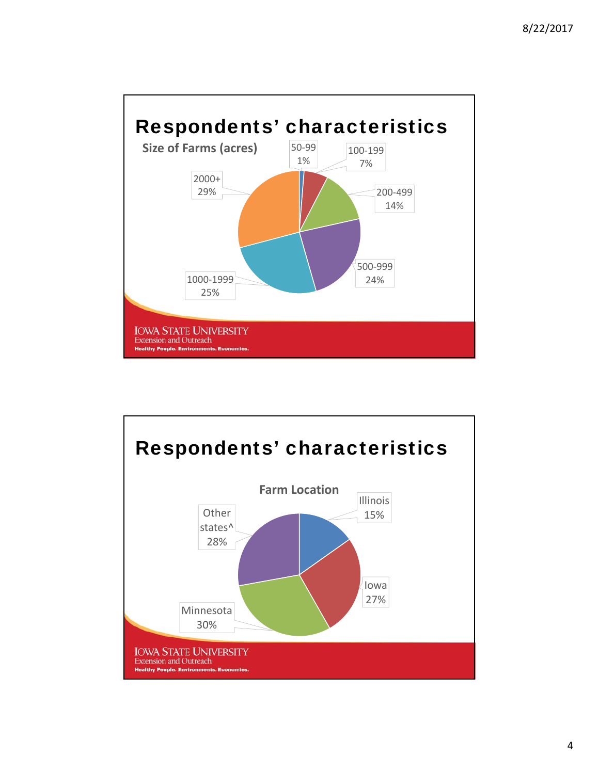

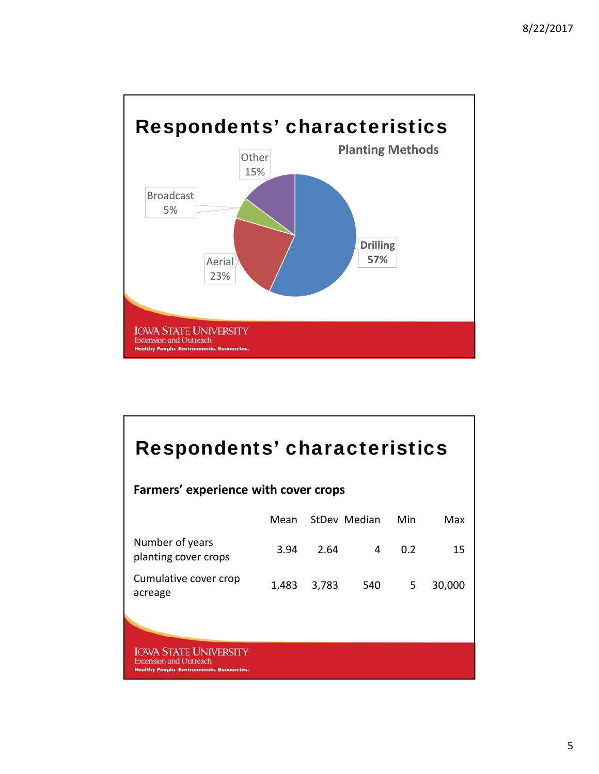

| Respondents' characteristics<br>Farmers' experience with cover crops                                             |       |       |     |     |        |  |  |  |
|------------------------------------------------------------------------------------------------------------------|-------|-------|-----|-----|--------|--|--|--|
| StDev Median<br>Min<br>Mean<br>Max                                                                               |       |       |     |     |        |  |  |  |
| Number of years<br>planting cover crops                                                                          | 3.94  | 2.64  | 4   | 0.2 | 15     |  |  |  |
| Cumulative cover crop<br>acreage                                                                                 | 1,483 | 3,783 | 540 | 5   | 30,000 |  |  |  |
|                                                                                                                  |       |       |     |     |        |  |  |  |
| <b>IOWA STATE UNIVERSITY</b><br><b>Extension and Outreach</b><br><b>Healthy People. Environments. Economies.</b> |       |       |     |     |        |  |  |  |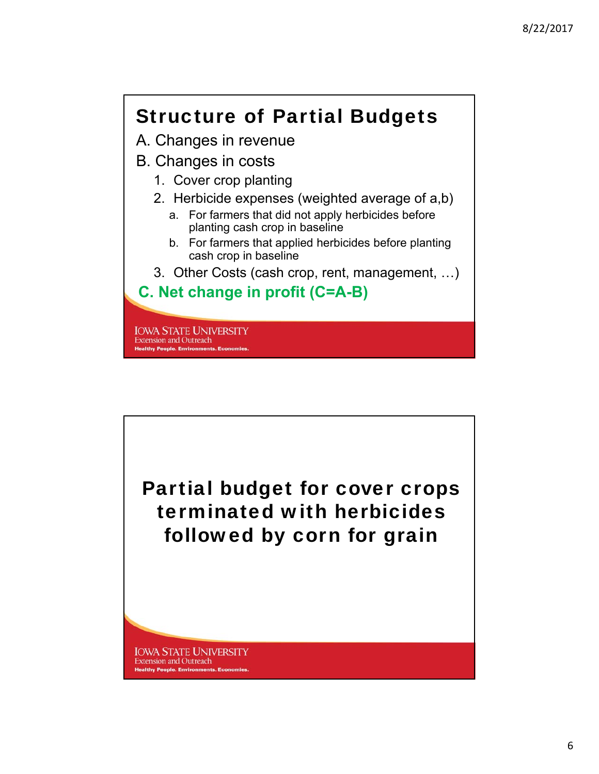## Structure of Partial Budgets

- A. Changes in revenue
- B. Changes in costs
	- 1. Cover crop planting
	- 2. Herbicide expenses (weighted average of a,b)
		- a. For farmers that did not apply herbicides before planting cash crop in baseline
		- b. For farmers that applied herbicides before planting cash crop in baseline
	- 3. Other Costs (cash crop, rent, management, …)

#### **C. Net change in profit (C=A-B)**

**IOWA STATE UNIVERSITY Extension and Outreach Healthy People. Environments. Eco** 

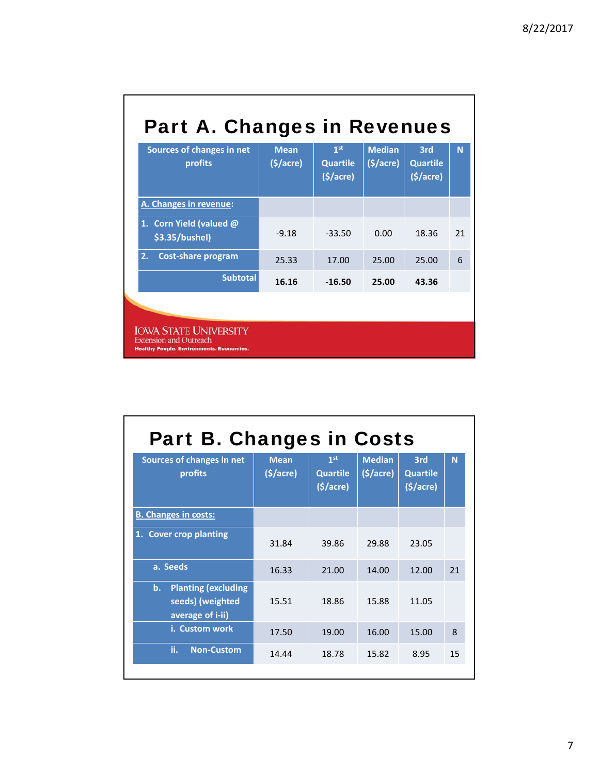| Sources of changes in net<br>profits                                                                             | <b>Mean</b><br>(§/acre) | 1 <sup>st</sup><br><b>Quartile</b><br>(5/acre) | <b>Median</b><br>(5/acre) | 3rd<br><b>Quartile</b><br>(5/acre) | N  |
|------------------------------------------------------------------------------------------------------------------|-------------------------|------------------------------------------------|---------------------------|------------------------------------|----|
| A. Changes in revenue:                                                                                           |                         |                                                |                           |                                    |    |
| 1. Corn Yield (valued @<br>\$3.35/bushel)                                                                        | $-9.18$                 | $-33.50$                                       | 0.00                      | 18.36                              | 21 |
| 2.<br><b>Cost-share program</b>                                                                                  | 25.33                   | 17.00                                          | 25.00                     | 25.00                              | 6  |
| <b>Subtotal</b>                                                                                                  | 16.16                   | $-16.50$                                       | 25.00                     | 43.36                              |    |
|                                                                                                                  |                         |                                                |                           |                                    |    |
| <b>IOWA STATE UNIVERSITY</b><br><b>Extension and Outreach</b><br><b>Healthy People. Environments. Economies.</b> |                         |                                                |                           |                                    |    |

| <b>Part B. Changes in Costs</b>                                                  |                         |                                                |                           |                                             |    |  |  |  |
|----------------------------------------------------------------------------------|-------------------------|------------------------------------------------|---------------------------|---------------------------------------------|----|--|--|--|
| Sources of changes in net<br>profits                                             | <b>Mean</b><br>(5/acre) | 1 <sup>st</sup><br><b>Quartile</b><br>(5/acre) | <b>Median</b><br>(5/acre) | 3rd<br><b>Quartile</b><br>( <b>§</b> /acre) | N  |  |  |  |
| <b>B. Changes in costs:</b>                                                      |                         |                                                |                           |                                             |    |  |  |  |
| 1. Cover crop planting                                                           | 31.84                   | 39.86                                          | 29.88                     | 23.05                                       |    |  |  |  |
| a. Seeds                                                                         | 16.33                   | 21.00                                          | 14.00                     | 12.00                                       | 21 |  |  |  |
| <b>Planting (excluding</b><br>b.<br>seeds) (weighted<br>average of <i>i</i> -ii) | 15.51                   | 18.86                                          | 15.88                     | 11.05                                       |    |  |  |  |
| i. Custom work                                                                   | 17.50                   | 19.00                                          | 16.00                     | 15.00                                       | 8  |  |  |  |
| ii.<br><b>Non-Custom</b>                                                         | 14.44                   | 18.78                                          | 15.82                     | 8.95                                        | 15 |  |  |  |
|                                                                                  |                         |                                                |                           |                                             |    |  |  |  |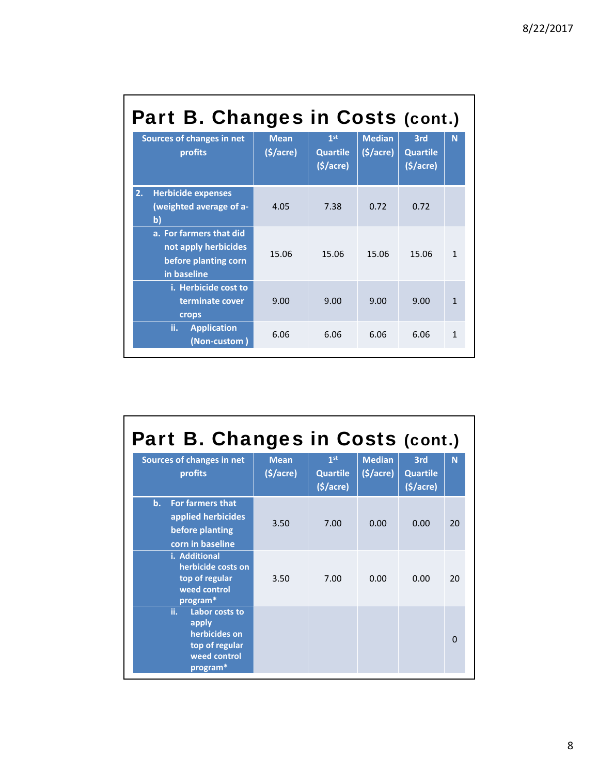| Part B. Changes in Costs (cont.) |                                                                                        |                         |                                                |                                       |                                    |              |  |  |  |
|----------------------------------|----------------------------------------------------------------------------------------|-------------------------|------------------------------------------------|---------------------------------------|------------------------------------|--------------|--|--|--|
|                                  | Sources of changes in net<br>profits                                                   | <b>Mean</b><br>(§/acre) | 1 <sup>st</sup><br><b>Quartile</b><br>(5/acre) | <b>Median</b><br>$(\frac{1}{2})accre$ | 3rd<br><b>Quartile</b><br>(§/acre) | N            |  |  |  |
| 2.                               | <b>Herbicide expenses</b><br>(weighted average of a-<br>b)                             | 4.05                    | 7.38                                           | 0.72                                  | 0.72                               |              |  |  |  |
|                                  | a. For farmers that did<br>not apply herbicides<br>before planting corn<br>in baseline | 15.06                   | 15.06                                          | 15.06                                 | 15.06                              | $\mathbf{1}$ |  |  |  |
|                                  | i. Herbicide cost to<br>terminate cover<br>crops                                       | 9.00                    | 9.00                                           | 9.00                                  | 9.00                               | $\mathbf{1}$ |  |  |  |
|                                  | ii.<br><b>Application</b><br>(Non-custom)                                              | 6.06                    | 6.06                                           | 6.06                                  | 6.06                               | $\mathbf{1}$ |  |  |  |

| Part B. Changes in Costs (cont.)                                                              |                         |                                                            |                                        |                                    |          |  |  |  |  |
|-----------------------------------------------------------------------------------------------|-------------------------|------------------------------------------------------------|----------------------------------------|------------------------------------|----------|--|--|--|--|
| Sources of changes in net<br>profits                                                          | <b>Mean</b><br>(§/acre) | 1 <sup>st</sup><br><b>Quartile</b><br>$(\frac{1}{2})accre$ | <b>Median</b><br>$(\frac{1}{2})accre)$ | 3rd<br><b>Quartile</b><br>(5/acre) | N        |  |  |  |  |
| <b>For farmers that</b><br>b.<br>applied herbicides<br>before planting<br>corn in baseline    | 3.50                    | 7.00                                                       | 0.00                                   | 0.00                               | 20       |  |  |  |  |
| i. Additional<br>herbicide costs on<br>top of regular<br>weed control<br>program*             | 3.50                    | 7.00                                                       | 0.00                                   | 0.00                               | 20       |  |  |  |  |
| ii.<br>Labor costs to<br>apply<br>herbicides on<br>top of regular<br>weed control<br>program* |                         |                                                            |                                        |                                    | $\Omega$ |  |  |  |  |

г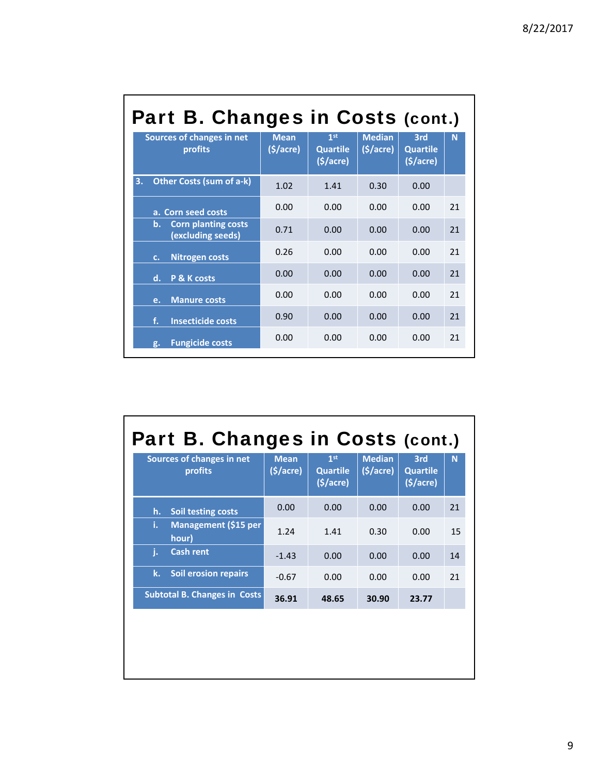| Part B. Changes in Costs (cont.)                      |                                     |                                                             |                                        |                                    |    |  |  |  |
|-------------------------------------------------------|-------------------------------------|-------------------------------------------------------------|----------------------------------------|------------------------------------|----|--|--|--|
| <b>Sources of changes in net</b><br>profits           | <b>Mean</b><br>$(\frac{1}{2})accre$ | 1 <sup>st</sup><br><b>Quartile</b><br>$(\frac{1}{2})accre)$ | <b>Median</b><br>$(\frac{1}{2})accre)$ | 3rd<br><b>Quartile</b><br>(§/acre) | N  |  |  |  |
| <b>Other Costs (sum of a-k)</b><br>3.                 | 1.02                                | 1 4 1                                                       | 0.30                                   | 0.00                               |    |  |  |  |
| a. Corn seed costs                                    | 0.00                                | 0.00                                                        | 0.00                                   | 0.00                               | 21 |  |  |  |
| <b>Corn planting costs</b><br>b.<br>(excluding seeds) | 0.71                                | 0.00                                                        | 0.00                                   | 0.00                               | 21 |  |  |  |
| <b>Nitrogen costs</b><br>$C_{1}$                      | 0.26                                | 0.00                                                        | 0.00                                   | 0.00                               | 21 |  |  |  |
| d.<br><b>P &amp; K costs</b>                          | 0.00                                | 0.00                                                        | 0.00                                   | 0.00                               | 21 |  |  |  |
| <b>Manure costs</b><br>e.                             | 0.00                                | 0.00                                                        | 0.00                                   | 0.00                               | 21 |  |  |  |
| f.<br><b>Insecticide costs</b>                        | 0.90                                | 0.00                                                        | 0.00                                   | 0.00                               | 21 |  |  |  |
| <b>Fungicide costs</b><br>g.                          | 0.00                                | 0.00                                                        | 0.00                                   | 0.00                               | 21 |  |  |  |

# Part B. Changes in Costs (cont.)

| Sources of changes in net<br>profits       | <b>Mean</b><br>$(\frac{1}{2})accre)$ | 1 <sub>st</sub><br><b>Quartile</b><br>(5/acre) | <b>Median</b><br>$(\frac{1}{2})accre)$ | 3rd<br><b>Quartile</b><br>(\$/acre) | N  |
|--------------------------------------------|--------------------------------------|------------------------------------------------|----------------------------------------|-------------------------------------|----|
| <b>Soil testing costs</b><br>h.            | 0.00                                 | 0.00                                           | 0.00                                   | 0.00                                | 21 |
| <b>Management (\$15 per</b><br>i.<br>hour) | 1.24                                 | 1.41                                           | 0.30                                   | 0.00                                | 15 |
| <b>Cash rent</b><br>i.                     | $-1.43$                              | 0.00                                           | 0.00                                   | 0.00                                | 14 |
| k.<br><b>Soil erosion repairs</b>          | $-0.67$                              | 0.00                                           | 0.00                                   | 0.00                                | 21 |
| <b>Subtotal B. Changes in Costs</b>        | 36.91                                | 48.65                                          | 30.90                                  | 23.77                               |    |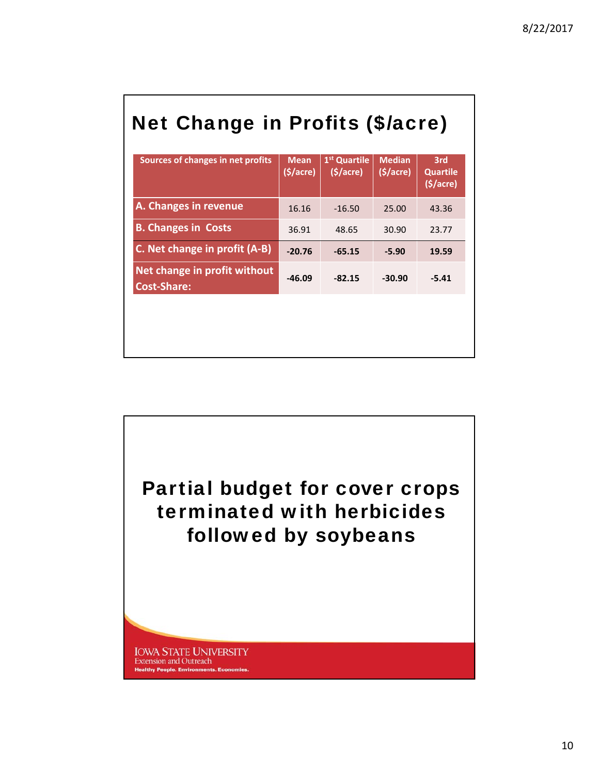# Net Change in Profits (\$/acre)

| Sources of changes in net profits                  | <b>Mean</b><br>(§/acre) | 1 <sup>st</sup> Quartile<br>(§/acre) | <b>Median</b><br>$(\frac{1}{2})accre$ | 3rd<br><b>Quartile</b><br>(5/acre) |
|----------------------------------------------------|-------------------------|--------------------------------------|---------------------------------------|------------------------------------|
| A. Changes in revenue                              | 16.16                   | $-16.50$                             | 25.00                                 | 43.36                              |
| <b>B. Changes in Costs</b>                         | 36.91                   | 48.65                                | 30.90                                 | 23.77                              |
| C. Net change in profit (A-B)                      | $-20.76$                | $-65.15$                             | $-5.90$                               | 19.59                              |
| Net change in profit without<br><b>Cost-Share:</b> | $-46.09$                | $-82.15$                             | $-30.90$                              | $-5.41$                            |
|                                                    |                         |                                      |                                       |                                    |
|                                                    |                         |                                      |                                       |                                    |
|                                                    |                         |                                      |                                       |                                    |

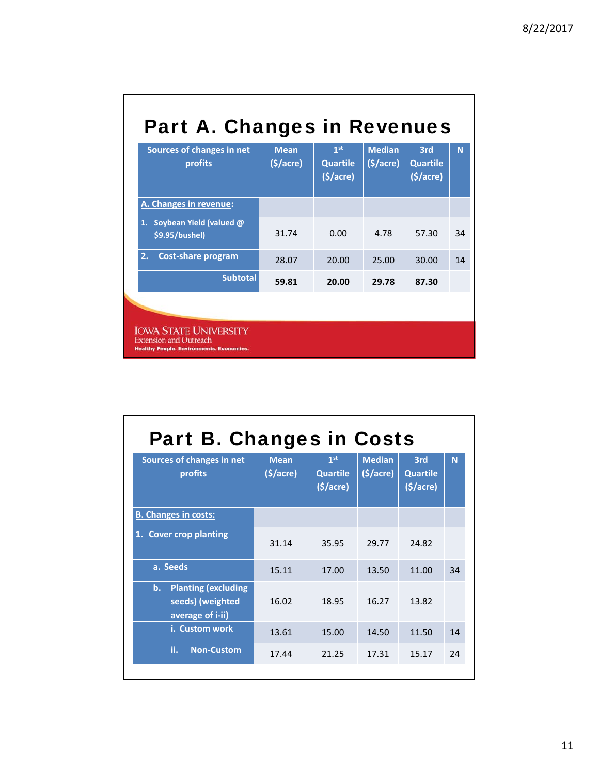| <b>Part A. Changes in Revenues</b> |  |
|------------------------------------|--|
|------------------------------------|--|

| Sources of changes in net<br>profits                                                                             | <b>Mean</b><br>(5/acre) | 1 <sup>st</sup><br><b>Quartile</b><br>(5/acre) | <b>Median</b><br>(5/acre) | 3rd<br><b>Quartile</b><br>(§/acre) | N  |
|------------------------------------------------------------------------------------------------------------------|-------------------------|------------------------------------------------|---------------------------|------------------------------------|----|
| A. Changes in revenue:                                                                                           |                         |                                                |                           |                                    |    |
| Soybean Yield (valued @<br>1.<br>\$9.95/bushel)                                                                  | 31.74                   | 0.00                                           | 4.78                      | 57.30                              | 34 |
| <b>Cost-share program</b><br>2.                                                                                  | 28.07                   | 20.00                                          | 25.00                     | 30.00                              | 14 |
| <b>Subtotal</b>                                                                                                  | 59.81                   | 20.00                                          | 29.78                     | 87.30                              |    |
|                                                                                                                  |                         |                                                |                           |                                    |    |
| <b>IOWA STATE UNIVERSITY</b><br><b>Extension and Outreach</b><br><b>Healthy People. Environments. Economies.</b> |                         |                                                |                           |                                    |    |

| <b>Part B. Changes in Costs</b>                                          |                         |                                                |                                        |                                    |    |  |  |  |
|--------------------------------------------------------------------------|-------------------------|------------------------------------------------|----------------------------------------|------------------------------------|----|--|--|--|
| Sources of changes in net<br>profits                                     | <b>Mean</b><br>(5/acre) | 1 <sup>st</sup><br><b>Quartile</b><br>(5/acre) | <b>Median</b><br>$(\frac{1}{2})accre)$ | 3rd<br><b>Quartile</b><br>(5/acre) | N  |  |  |  |
| <b>B. Changes in costs:</b>                                              |                         |                                                |                                        |                                    |    |  |  |  |
| 1. Cover crop planting                                                   | 31.14                   | 35.95                                          | 29.77                                  | 24.82                              |    |  |  |  |
| a. Seeds                                                                 | 15.11                   | 17.00                                          | 13.50                                  | 11.00                              | 34 |  |  |  |
| <b>Planting (excluding</b><br>b.<br>seeds) (weighted<br>average of i-ii) | 16.02                   | 18.95                                          | 16.27                                  | 13.82                              |    |  |  |  |
| i. Custom work                                                           | 13.61                   | 15.00                                          | 14.50                                  | 11.50                              | 14 |  |  |  |
| ii.<br><b>Non-Custom</b>                                                 | 17.44                   | 21.25                                          | 17.31                                  | 15.17                              | 24 |  |  |  |
|                                                                          |                         |                                                |                                        |                                    |    |  |  |  |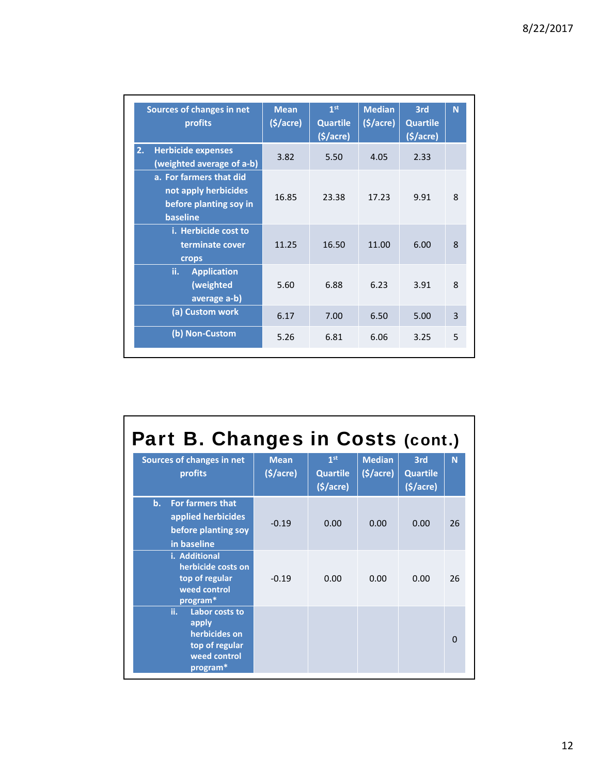٦

| Sources of changes in net<br>profits                                                  | <b>Mean</b><br>$(\frac{1}{2})accre)$ | 1 <sup>st</sup><br><b>Quartile</b><br>(§/acre) | <b>Median</b><br>(5/acre) | 3rd<br><b>Quartile</b><br>(§/acre) | N |
|---------------------------------------------------------------------------------------|--------------------------------------|------------------------------------------------|---------------------------|------------------------------------|---|
| <b>Herbicide expenses</b><br>$\overline{2.}$<br>(weighted average of a-b)             | 3.82                                 | 5.50                                           | 4.05                      | 2.33                               |   |
| a. For farmers that did<br>not apply herbicides<br>before planting soy in<br>baseline | 16.85                                | 23.38                                          | 17.23                     | 9.91                               | 8 |
| i. Herbicide cost to<br>terminate cover<br>crops                                      | 11.25                                | 16.50                                          | 11.00                     | 6.00                               | 8 |
| ii.<br><b>Application</b><br>(weighted<br>average a-b)                                | 5.60                                 | 6.88                                           | 6.23                      | 3.91                               | 8 |
| (a) Custom work                                                                       | 6.17                                 | 7.00                                           | 6.50                      | 5.00                               | 3 |
| (b) Non-Custom                                                                        | 5.26                                 | 6.81                                           | 6.06                      | 3.25                               | 5 |

| Part B. Changes in Costs (cont.)                                                              |                         |                                                |                                        |                                    |          |  |  |
|-----------------------------------------------------------------------------------------------|-------------------------|------------------------------------------------|----------------------------------------|------------------------------------|----------|--|--|
| Sources of changes in net<br><b>profits</b>                                                   | <b>Mean</b><br>(§/acre) | 1 <sup>st</sup><br><b>Quartile</b><br>(5/acre) | <b>Median</b><br>$(\frac{1}{2})accre)$ | 3rd<br><b>Quartile</b><br>(§/acre) | N        |  |  |
| <b>For farmers that</b><br>b.<br>applied herbicides<br>before planting soy<br>in baseline     | $-0.19$                 | 0.00                                           | 0.00                                   | 0.00                               | 26       |  |  |
| i. Additional<br>herbicide costs on<br>top of regular<br>weed control<br>program*             | $-0.19$                 | 0.00                                           | 0.00                                   | 0.00                               | 26       |  |  |
| ii.<br>Labor costs to<br>apply<br>herbicides on<br>top of regular<br>weed control<br>program* |                         |                                                |                                        |                                    | $\Omega$ |  |  |

г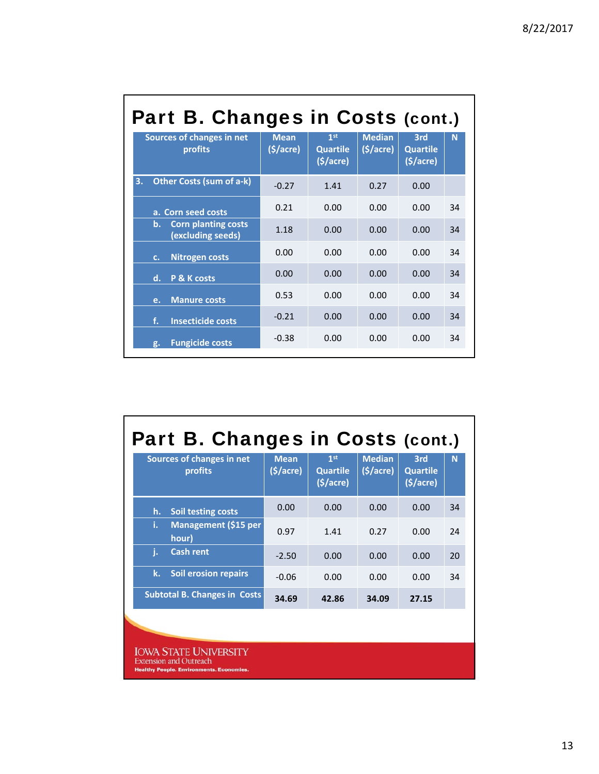| Part B. Changes in Costs (cont.)                                 |                         |                                                |                                        |                                    |    |  |  |
|------------------------------------------------------------------|-------------------------|------------------------------------------------|----------------------------------------|------------------------------------|----|--|--|
| Sources of changes in net<br>profits                             | <b>Mean</b><br>(§/acre) | 1 <sup>st</sup><br><b>Quartile</b><br>(§/acre) | <b>Median</b><br>$(\frac{1}{2})accre)$ | 3rd<br><b>Quartile</b><br>(5/acre) | N  |  |  |
| <b>Other Costs (sum of a-k)</b><br>3.                            | $-0.27$                 | 1.41                                           | 0.27                                   | 0.00                               |    |  |  |
| a. Corn seed costs                                               | 0.21                    | 0.00                                           | 0.00                                   | 0.00                               | 34 |  |  |
| <b>Corn planting costs</b><br>$\mathbf b$ .<br>(excluding seeds) | 1.18                    | 0.00                                           | 0.00                                   | 0.00                               | 34 |  |  |
| <b>Nitrogen costs</b><br>$C_{1}$                                 | 0.00                    | 0.00                                           | 0.00                                   | 0.00                               | 34 |  |  |
| d.<br>P & K costs                                                | 0.00                    | 0.00                                           | 0.00                                   | 0.00                               | 34 |  |  |
| <b>Manure costs</b><br>e.                                        | 0.53                    | 0.00                                           | 0.00                                   | 0.00                               | 34 |  |  |
| f.<br><b>Insecticide costs</b>                                   | $-0.21$                 | 0.00                                           | 0.00                                   | 0.00                               | 34 |  |  |
| <b>Fungicide costs</b><br>g.                                     | $-0.38$                 | 0.00                                           | 0.00                                   | 0.00                               | 34 |  |  |

# Part B. Changes in Costs (cont.)

| Sources of changes in net<br>profits | <b>Mean</b><br>(5/acre) | 1 <sup>st</sup><br><b>Quartile</b><br>(S/acre) | <b>Median</b><br>$(\frac{1}{2})accre)$ | 3rd<br><b>Quartile</b><br>(\$/acre) | 'N. |
|--------------------------------------|-------------------------|------------------------------------------------|----------------------------------------|-------------------------------------|-----|
| <b>Soil testing costs</b><br>h.      | 0.00                    | 0.00                                           | 0.00                                   | 0.00                                | 34  |
| Management (\$15 per<br>i.<br>hour)  | 0.97                    | 1.41                                           | 0.27                                   | 0.00                                | 24  |
| j.<br><b>Cash rent</b>               | $-2.50$                 | 0.00                                           | 0.00                                   | 0.00                                | 20  |
| <b>Soil erosion repairs</b><br>k.    | $-0.06$                 | 0.00                                           | 0.00                                   | 0.00                                | 34  |
| <b>Subtotal B. Changes in Costs</b>  | 34.69                   | 42.86                                          | 34.09                                  | 27.15                               |     |

**IOWA STATE UNIVERSITY**<br>Extension and Outreach<br>Healthy People. Environments. Economies.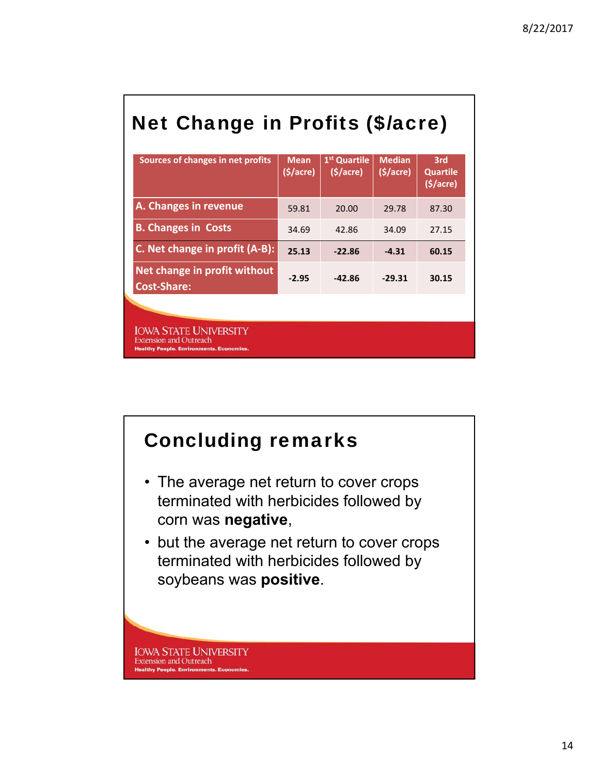# Net Change in Profits (\$/acre)

| Sources of changes in net profits                                                                                | <b>Mean</b><br>(S/acre) | 1 <sup>st</sup> Quartile<br>(S/acre) | <b>Median</b><br>(§/acre) | 3rd<br><b>Quartile</b><br>(§/acre) |
|------------------------------------------------------------------------------------------------------------------|-------------------------|--------------------------------------|---------------------------|------------------------------------|
| A. Changes in revenue                                                                                            | 59.81                   | 20.00                                | 29.78                     | 87.30                              |
| <b>B. Changes in Costs</b>                                                                                       | 34.69                   | 42.86                                | 34.09                     | 27.15                              |
| C. Net change in profit (A-B):                                                                                   | 25.13                   | $-22.86$                             | $-4.31$                   | 60.15                              |
| Net change in profit without<br><b>Cost-Share:</b>                                                               | $-2.95$                 | $-42.86$                             | $-29.31$                  | 30.15                              |
|                                                                                                                  |                         |                                      |                           |                                    |
| <b>IOWA STATE UNIVERSITY</b><br><b>Extension and Outreach</b><br><b>Healthy People, Environments, Economies,</b> |                         |                                      |                           |                                    |

## Concluding remarks

- The average net return to cover crops terminated with herbicides followed by corn was **negative**,
- but the average net return to cover crops terminated with herbicides followed by soybeans was **positive**.

**IOWA STATE UNIVERSITY Extension and Outreach Healthy People. Environments. Economies**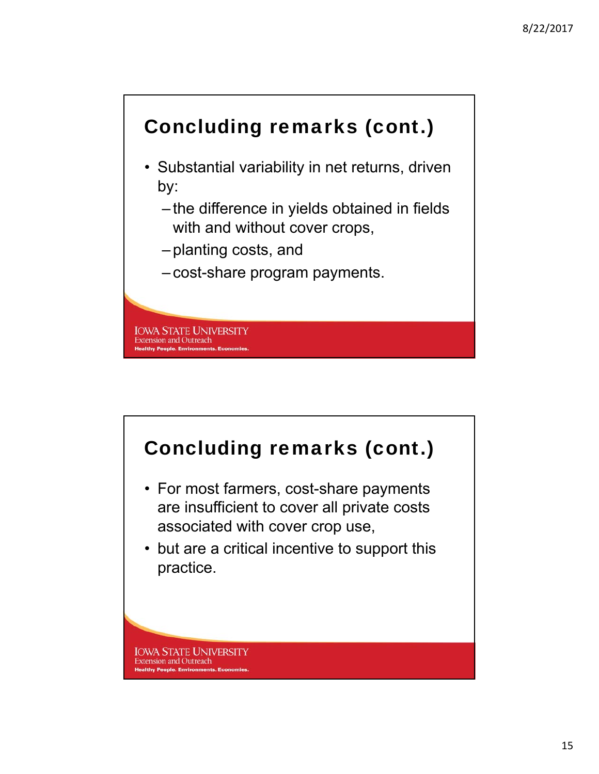

- Substantial variability in net returns, driven by:
	- the difference in yields obtained in fields with and without cover crops,
	- planting costs, and
	- cost-share program payments.

**IOWA STATE UNIVERSITY Extension and Outreach Healthy People. Environments. Ec**